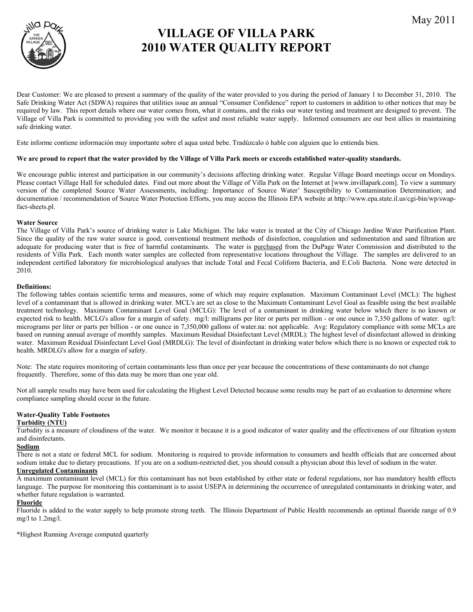

# **VILLAGE OF VILLA PARK 2010 WATER QUALITY REPORT**

Dear Customer: We are pleased to present a summary of the quality of the water provided to you during the period of January 1 to December 31, 2010. The Safe Drinking Water Act (SDWA) requires that utilities issue an annual "Consumer Confidence" report to customers in addition to other notices that may be required by law. This report details where our water comes from, what it contains, and the risks our water testing and treatment are designed to prevent. The Village of Villa Park is committed to providing you with the safest and most reliable water supply. Informed consumers are our best allies in maintaining safe drinking water.

Este informe contiene información muy importante sobre el aqua usted bebe. Tradúzcalo ó hable con alguien que lo entienda bien.

#### **We are proud to report that the water provided by the Village of Villa Park meets or exceeds established water-quality standards.**

We encourage public interest and participation in our community's decisions affecting drinking water. Regular Village Board meetings occur on Mondays. Please contact Village Hall for scheduled dates. Find out more about the Village of Villa Park on the Internet at [www.invillapark.com]. To view a summary version of the completed Source Water Assessments, including: Importance of Source Water' Susceptibility to Contamination Determination; and documentation / recommendation of Source Water Protection Efforts, you may access the Illinois EPA website at http://www.epa.state.il.us/cgi-bin/wp/swapfact-sheets.pl.

#### **Water Source**

The Village of Villa Park's source of drinking water is Lake Michigan. The lake water is treated at the City of Chicago Jardine Water Purification Plant. Since the quality of the raw water source is good, conventional treatment methods of disinfection, coagulation and sedimentation and sand filtration are adequate for producing water that is free of harmful contaminants. The water is purchased from the DuPage Water Commission and distributed to the residents of Villa Park. Each month water samples are collected from representative locations throughout the Village. The samples are delivered to an independent certified laboratory for microbiological analyses that include Total and Fecal Coliform Bacteria, and E.Coli Bacteria. None were detected in 2010.

#### **Definitions:**

The following tables contain scientific terms and measures, some of which may require explanation. Maximum Contaminant Level (MCL): The highest level of a contaminant that is allowed in drinking water. MCL's are set as close to the Maximum Contaminant Level Goal as feasible using the best available treatment technology. Maximum Contaminant Level Goal (MCLG): The level of a contaminant in drinking water below which there is no known or expected risk to health. MCLG's allow for a margin of safety. mg/l: milligrams per liter or parts per million - or one ounce in 7,350 gallons of water. ug/l: micrograms per liter or parts per billion - or one ounce in 7,350,000 gallons of water.na: not applicable. Avg: Regulatory compliance with some MCLs are based on running annual average of monthly samples. Maximum Residual Disinfectant Level (MRDL): The highest level of disinfectant allowed in drinking water. Maximum Residual Disinfectant Level Goal (MRDLG): The level of disinfectant in drinking water below which there is no known or expected risk to health. MRDLG's allow for a margin of safety.

Note: The state requires monitoring of certain contaminants less than once per year because the concentrations of these contaminants do not change frequently. Therefore, some of this data may be more than one year old.

Not all sample results may have been used for calculating the Highest Level Detected because some results may be part of an evaluation to determine where compliance sampling should occur in the future.

## **Water-Quality Table Footnotes**

#### **Turbidity (NTU)**

Turbidity is a measure of cloudiness of the water. We monitor it because it is a good indicator of water quality and the effectiveness of our filtration system and disinfectants.

### **Sodium**

There is not a state or federal MCL for sodium. Monitoring is required to provide information to consumers and health officials that are concerned about sodium intake due to dietary precautions. If you are on a sodium-restricted diet, you should consult a physician about this level of sodium in the water. **Unregulated Contaminants**

A maximum contaminant level (MCL) for this contaminant has not been established by either state or federal regulations, nor has mandatory health effects language. The purpose for monitoring this contaminant is to assist USEPA in determining the occurrence of unregulated contaminants in drinking water, and whether future regulation is warranted.

#### **Fluoride**

Fluoride is added to the water supply to help promote strong teeth. The Illinois Department of Public Health recommends an optimal fluoride range of 0.9 mg/l to 1.2mg/l.

\*Highest Running Average computed quarterly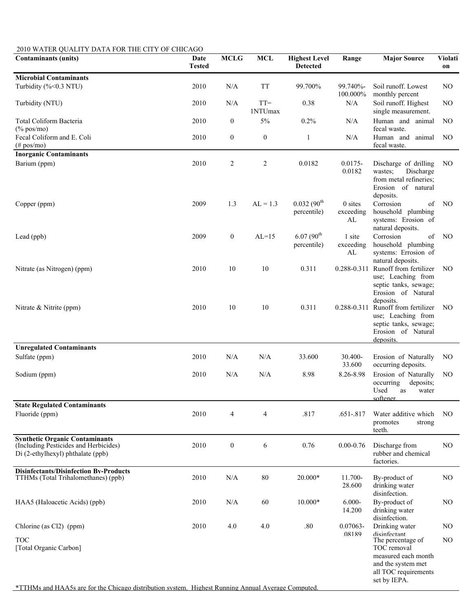| 2010 WATER QUALITY DATA FOR THE CITY OF CHICAGO                                                                     |                       |                  |                   |                                         |                              |                                                                                                                       |                      |  |  |
|---------------------------------------------------------------------------------------------------------------------|-----------------------|------------------|-------------------|-----------------------------------------|------------------------------|-----------------------------------------------------------------------------------------------------------------------|----------------------|--|--|
| <b>Contaminants (units)</b>                                                                                         | Date<br><b>Tested</b> | <b>MCLG</b>      | <b>MCL</b>        | <b>Highest Level</b><br><b>Detected</b> | Range                        | <b>Major Source</b>                                                                                                   | <b>Violati</b><br>on |  |  |
| <b>Microbial Contaminants</b><br>Turbidity (%<0.3 NTU)                                                              | 2010                  | N/A              | <b>TT</b>         | 99.700%                                 | 99.740%-<br>100.000%         | Soil runoff. Lowest<br>monthly percent                                                                                | NO.                  |  |  |
| Turbidity (NTU)                                                                                                     | 2010                  | N/A              | $TT =$<br>1NTUmax | 0.38                                    | $\rm N/A$                    | Soil runoff. Highest<br>single measurement.                                                                           | N <sub>O</sub>       |  |  |
| Total Coliform Bacteria<br>$(\%$ pos/mo)                                                                            | 2010                  | $\boldsymbol{0}$ | 5%                | 0.2%                                    | N/A                          | Human and animal<br>fecal waste.                                                                                      | N <sub>O</sub>       |  |  |
| Fecal Coliform and E. Coli<br>$(\text{\# pos/mo})$                                                                  | 2010                  | $\boldsymbol{0}$ | $\boldsymbol{0}$  | $\mathbf{1}$                            | N/A                          | Human and animal<br>fecal waste.                                                                                      | N <sub>O</sub>       |  |  |
| <b>Inorganic Contaminants</b><br>Barium (ppm)                                                                       | 2010                  | $\overline{c}$   | 2                 | 0.0182                                  | $0.0175 -$<br>0.0182         | Discharge of drilling<br>wastes;<br>Discharge<br>from metal refineries;<br>Erosion of natural<br>deposits.            | N <sub>O</sub>       |  |  |
| Copper (ppm)                                                                                                        | 2009                  | 1.3              | $AL = 1.3$        | $0.032(90^{th}$<br>percentile)          | $0$ sites<br>exceeding<br>AL | Corrosion<br>of<br>household plumbing<br>systems: Erosion of<br>natural deposits.                                     | N <sub>O</sub>       |  |  |
| Lead (ppb)                                                                                                          | 2009                  | $\boldsymbol{0}$ | $AL=15$           | $6.07(90^{th}$<br>percentile)           | 1 site<br>exceeding<br>AL    | Corrosion<br>of<br>household plumbing<br>systems: Errosion of<br>natural deposits.                                    | N <sub>O</sub>       |  |  |
| Nitrate (as Nitrogen) (ppm)                                                                                         | 2010                  | 10               | 10                | 0.311                                   | 0.288-0.311                  | Runoff from fertilizer<br>use; Leaching from<br>septic tanks, sewage;<br>Erosion of Natural<br>deposits.              | N <sub>O</sub>       |  |  |
| Nitrate & Nitrite (ppm)                                                                                             | 2010                  | 10               | $10\,$            | 0.311                                   | 0.288-0.311                  | Runoff from fertilizer<br>use; Leaching from<br>septic tanks, sewage;<br>Erosion of Natural<br>deposits.              | NO                   |  |  |
| <b>Unregulated Contaminants</b><br>Sulfate (ppm)                                                                    | 2010                  | N/A              | N/A               | 33.600                                  | 30.400-<br>33.600            | Erosion of Naturally<br>occurring deposits.                                                                           | NO.                  |  |  |
| Sodium (ppm)                                                                                                        | 2010                  | N/A              | N/A               | 8.98                                    | 8.26-8.98                    | Erosion of Naturally<br>occurring<br>deposits;<br>Used as water<br>softener.                                          | N <sub>O</sub>       |  |  |
| <b>State Regulated Contaminants</b><br>Fluoride (ppm)                                                               | 2010                  | $\overline{4}$   | $\overline{4}$    | .817                                    | $.651 - .817$                | Water additive which<br>promotes<br>strong<br>teeth.                                                                  | N <sub>O</sub>       |  |  |
| <b>Synthetic Organic Contaminants</b><br>(Including Pesticides and Herbicides)<br>Di (2-ethylhexyl) phthalate (ppb) | 2010                  | $\boldsymbol{0}$ | 6                 | 0.76                                    | $0.00 - 0.76$                | Discharge from<br>rubber and chemical<br>factories.                                                                   | NO                   |  |  |
| <b>Disinfectants/Disinfection By-Products</b><br>TTHMs (Total Trihalomethanes) (ppb)                                | 2010                  | $\rm N/A$        | 80                | 20.000*                                 | 11.700-<br>28.600            | By-product of<br>drinking water<br>disinfection.                                                                      | N <sub>O</sub>       |  |  |
| HAA5 (Haloacetic Acids) (ppb)                                                                                       | 2010                  | N/A              | 60                | 10.000*                                 | $6.000 -$<br>14.200          | By-product of<br>drinking water<br>disinfection.                                                                      | N <sub>O</sub>       |  |  |
| Chlorine (as Cl2) (ppm)                                                                                             | 2010                  | 4.0              | 4.0               | $.80\,$                                 | 0.07063-<br>08189            | Drinking water<br>disinfectant                                                                                        | N <sub>O</sub>       |  |  |
| <b>TOC</b><br>[Total Organic Carbon]                                                                                |                       |                  |                   |                                         |                              | The percentage of<br>TOC removal<br>measured each month<br>and the system met<br>all TOC requirements<br>set by IEPA. | N <sub>O</sub>       |  |  |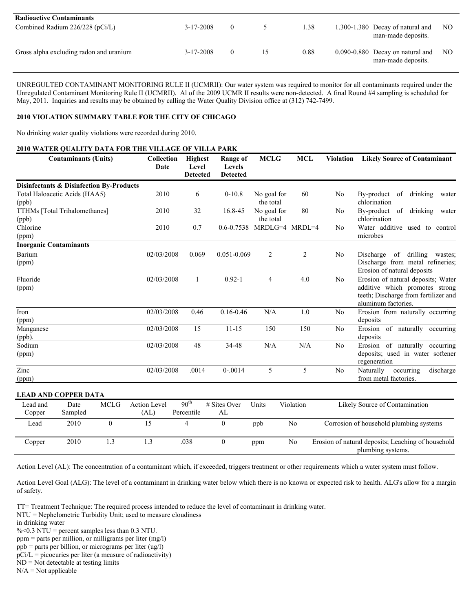| <b>Radioactive Contaminants</b>         |                 |          |      |                                                            |     |
|-----------------------------------------|-----------------|----------|------|------------------------------------------------------------|-----|
| Combined Radium $226/228$ (pCi/L)       | $3 - 17 - 2008$ |          | 1.38 | 1.300-1.380 Decay of natural and<br>man-made deposits.     | NO. |
| Gross alpha excluding radon and uranium | $3 - 17 - 2008$ | $\theta$ | 0.88 | $0.090 - 0.880$ Decay on natural and<br>man-made deposits. | NO. |

UNREGULTED CONTAMINANT MONITORING RULE II (UCMRII): Our water system was required to monitor for all contaminants required under the Unregulated Contaminant Monitoring Rule II (UCMRII). Al of the 2009 UCMR II results were non-detected. A final Round #4 sampling is scheduled for May, 2011. Inquiries and results may be obtained by calling the Water Quality Division office at (312) 742-7499.

#### **2010 VIOLATION SUMMARY TABLE FOR THE CITY OF CHICAGO**

No drinking water quality violations were recorded during 2010.

#### **2010 WATER QUALITY DATA FOR THE VILLAGE OF VILLA PARK**

|                               | <b>Contaminants (Units)</b>                         | <b>Collection</b><br>Date | <b>Highest</b><br>Level<br><b>Detected</b> | <b>Range of</b><br>Levels<br><b>Detected</b> | <b>MCLG</b>               | MCL       | <b>Violation</b> | <b>Likely Source of Contaminant</b>                                                                                                 |
|-------------------------------|-----------------------------------------------------|---------------------------|--------------------------------------------|----------------------------------------------|---------------------------|-----------|------------------|-------------------------------------------------------------------------------------------------------------------------------------|
|                               | <b>Disinfectants &amp; Disinfection By-Products</b> |                           |                                            |                                              |                           |           |                  |                                                                                                                                     |
| (ppb)                         | Total Haloacetic Acids (HAA5)                       | 2010                      | 6                                          | $0-10.8$                                     | No goal for<br>the total  | 60        | No               | By-product of drinking<br>water<br>chlorination                                                                                     |
| (ppb)                         | TTHMs [Total Trihalomethanes]                       | 2010                      | 32                                         | 16.8-45                                      | No goal for<br>the total  | 80        | No               | By-product of drinking water<br>chlorination                                                                                        |
| Chlorine<br>(ppm)             |                                                     | 2010                      | 0.7                                        |                                              | 0.6-0.7538 MRDLG=4 MRDL=4 |           | N <sub>0</sub>   | Water additive used to control<br>microbes                                                                                          |
| <b>Inorganic Contaminants</b> |                                                     |                           |                                            |                                              |                           |           |                  |                                                                                                                                     |
| Barium<br>(ppm)               |                                                     | 02/03/2008                | 0.069                                      | $0.051 - 0.069$                              | 2                         | 2         | N <sub>0</sub>   | Discharge<br>of drilling wastes;<br>Discharge from metal refineries;<br>Erosion of natural deposits                                 |
| Fluoride<br>(ppm)             |                                                     | 02/03/2008                | 1                                          | $0.92 - 1$                                   | $\overline{4}$            | 4.0       | No               | Erosion of natural deposits; Water<br>additive which promotes strong<br>teeth; Discharge from fertilizer and<br>aluminum factories. |
| Iron<br>(ppm)                 |                                                     | 02/03/2008                | 0.46                                       | $0.16 - 0.46$                                | N/A                       | 1.0       | N <sub>0</sub>   | Erosion from naturally occurring<br>deposits                                                                                        |
| Manganese<br>(ppb).           |                                                     | 02/03/2008                | 15                                         | $11 - 15$                                    | 150                       | 150       | No               | Erosion of naturally occurring<br>deposits                                                                                          |
| Sodium<br>(ppm)               |                                                     | 02/03/2008                | 48                                         | 34-48                                        | N/A                       | N/A       | No               | Erosion of naturally occurring<br>deposits; used in water softener<br>regeneration                                                  |
| Zinc<br>(ppm)                 |                                                     | 02/03/2008                | .0014                                      | $0 - 0014$                                   | 5                         | 5         | N <sub>0</sub>   | occurring<br>Naturally<br>discharge<br>from metal factories.                                                                        |
|                               | <b>LEAD AND COPPER DATA</b>                         |                           |                                            |                                              |                           |           |                  |                                                                                                                                     |
| Lead and                      | <b>MCLG</b><br>Date                                 | <b>Action Level</b>       | 90 <sup>th</sup>                           | # Sites Over                                 | Units                     | Violation |                  | Likely Source of Contamination                                                                                                      |
| Copper                        | Sampled                                             | (AL)                      | Percentile                                 | AL                                           |                           |           |                  |                                                                                                                                     |
| Lead                          | 2010<br>$\theta$                                    | 15                        | 4                                          | $\mathbf{0}$                                 | ppb                       | No        |                  | Corrosion of household plumbing systems                                                                                             |
| Copper                        | 2010<br>1.3                                         | 1.3                       | .038                                       | $\boldsymbol{0}$                             | ppm                       | No        |                  | Erosion of natural deposits; Leaching of household<br>plumbing systems.                                                             |

Action Level (AL): The concentration of a contaminant which, if exceeded, triggers treatment or other requirements which a water system must follow.

Action Level Goal (ALG): The level of a contaminant in drinking water below which there is no known or expected risk to health. ALG's allow for a margin of safety.

TT= Treatment Technique: The required process intended to reduce the level of contaminant in drinking water.

NTU = Nephelometric Turbidity Unit; used to measure cloudiness

in drinking water

- ppm = parts per million, or milligrams per liter (mg/l)
- ppb = parts per billion, or micrograms per liter (ug/l)
- $pCi/L = picocuries per liter (a measure of radioactivity)$

 $ND = Not detectable at testing limits$ 

 $N/A = Not$  applicable

 $\%$ <0.3 NTU = percent samples less than 0.3 NTU.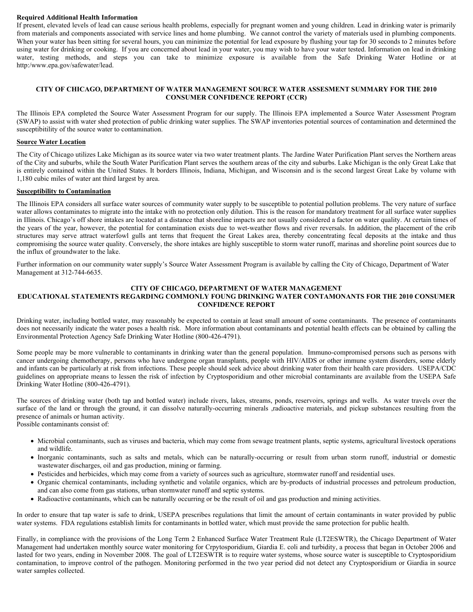#### **Required Additional Health Information**

If present, elevated levels of lead can cause serious health problems, especially for pregnant women and young children. Lead in drinking water is primarily from materials and components associated with service lines and home plumbing. We cannot control the variety of materials used in plumbing components. When your water has been sitting for several hours, you can minimize the potential for lead exposure by flushing your tap for 30 seconds to 2 minutes before using water for drinking or cooking. If you are concerned about lead in your water, you may wish to have your water tested. Information on lead in drinking water, testing methods, and steps you can take to minimize exposure is available from the Safe Drinking Water Hotline or at http:/www.epa.gov/safewater/lead.

#### **CITY OF CHICAGO, DEPARTMENT OF WATER MANAGEMENT SOURCE WATER ASSESMENT SUMMARY FOR THE 2010 CONSUMER CONFIDENCE REPORT (CCR)**

The Illinois EPA completed the Source Water Assessment Program for our supply. The Illinois EPA implemented a Source Water Assessment Program (SWAP) to assist with water shed protection of public drinking water supplies. The SWAP inventories potential sources of contamination and determined the susceptibitility of the source water to contamination.

#### **Source Water Location**

The City of Chicago utilizes Lake Michigan as its source water via two water treatment plants. The Jardine Water Purification Plant serves the Northern areas of the City and suburbs, while the South Water Purification Plant serves the southern areas of the city and suburbs. Lake Michigan is the only Great Lake that is entirely contained within the United States. It borders Illinois, Indiana, Michigan, and Wisconsin and is the second largest Great Lake by volume with 1,180 cubic miles of water ant third largest by area.

#### **Susceptibility to Contamination**

The Illinois EPA considers all surface water sources of community water supply to be susceptible to potential pollution problems. The very nature of surface water allows contaminates to migrate into the intake with no protection only dilution. This is the reason for mandatory treatment for all surface water supplies in Illinois. Chicago's off shore intakes are located at a distance that shoreline impacts are not usually considered a factor on water quality. At certain times of the years of the year, however, the potential for contamination exists due to wet-weather flows and river reversals. In addition, the placement of the crib structures may serve attract waterfowl gulls ant terns that frequent the Great Lakes area, thereby concentrating fecal deposits at the intake and thus compromising the source water quality. Conversely, the shore intakes are highly susceptible to storm water runoff, marinas and shoreline point sources due to the influx of groundwater to the lake.

Further information on our community water supply's Source Water Assessment Program is available by calling the City of Chicago, Department of Water Management at 312-744-6635.

#### **CITY OF CHICAGO, DEPARTMENT OF WATER MANAGEMENT**

### **EDUCATIONAL STATEMENTS REGARDING COMMONLY FOUNG DRINKING WATER CONTAMONANTS FOR THE 2010 CONSUMER CONFIDENCE REPORT**

Drinking water, including bottled water, may reasonably be expected to contain at least small amount of some contaminants. The presence of contaminants does not necessarily indicate the water poses a health risk. More information about contaminants and potential health effects can be obtained by calling the Environmental Protection Agency Safe Drinking Water Hotline (800-426-4791).

Some people may be more vulnerable to contaminants in drinking water than the general population. Immuno-compromised persons such as persons with cancer undergoing chemotherapy, persons who have undergone organ transplants, people with HIV/AIDS or other immune system disorders, some elderly and infants can be particularly at risk from infections. These people should seek advice about drinking water from their health care providers. USEPA/CDC guidelines on appropriate means to lessen the risk of infection by Cryptosporidium and other microbial contaminants are available from the USEPA Safe Drinking Water Hotline (800-426-4791).

The sources of drinking water (both tap and bottled water) include rivers, lakes, streams, ponds, reservoirs, springs and wells. As water travels over the surface of the land or through the ground, it can dissolve naturally-occurring minerals ,radioactive materials, and pickup substances resulting from the presence of animals or human activity.

Possible contaminants consist of:

- Microbial contaminants, such as viruses and bacteria, which may come from sewage treatment plants, septic systems, agricultural livestock operations and wildlife.
- Inorganic contaminants, such as salts and metals, which can be naturally-occurring or result from urban storm runoff, industrial or domestic wastewater discharges, oil and gas production, mining or farming.
- Pesticides and herbicides, which may come from a variety of sources such as agriculture, stormwater runoff and residential uses.
- Organic chemical contaminants, including synthetic and volatile organics, which are by-products of industrial processes and petroleum production, and can also come from gas stations, urban stormwater runoff and septic systems.
- Radioactive contaminants, which can be naturally occurring or be the result of oil and gas production and mining activities.

In order to ensure that tap water is safe to drink, USEPA prescribes regulations that limit the amount of certain contaminants in water provided by public water systems. FDA regulations establish limits for contaminants in bottled water, which must provide the same protection for public health.

Finally, in compliance with the provisions of the Long Term 2 Enhanced Surface Water Treatment Rule (LT2ESWTR), the Chicago Department of Water Management had undertaken monthly source water monitoring for Crpytosporidium, Giardia E. coli and turbidity, a process that began in October 2006 and lasted for two years, ending in November 2008. The goal of LT2ESWTR is to require water systems, whose source water is susceptible to Cryptosporidium contamination, to improve control of the pathogen. Monitoring performed in the two year period did not detect any Cryptosporidium or Giardia in source water samples collected.